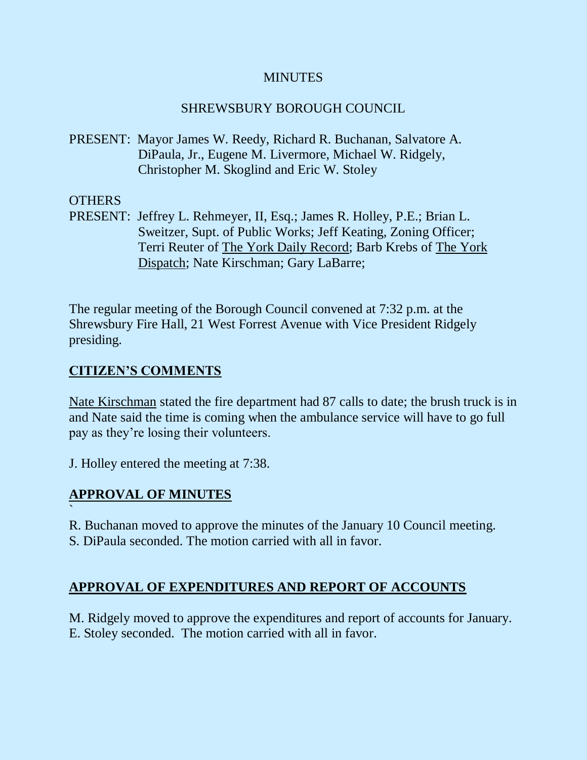## **MINUTES**

## SHREWSBURY BOROUGH COUNCIL

PRESENT: Mayor James W. Reedy, Richard R. Buchanan, Salvatore A. DiPaula, Jr., Eugene M. Livermore, Michael W. Ridgely, Christopher M. Skoglind and Eric W. Stoley

### OTHERS

PRESENT: Jeffrey L. Rehmeyer, II, Esq.; James R. Holley, P.E.; Brian L. Sweitzer, Supt. of Public Works; Jeff Keating, Zoning Officer; Terri Reuter of The York Daily Record; Barb Krebs of The York Dispatch; Nate Kirschman; Gary LaBarre;

The regular meeting of the Borough Council convened at 7:32 p.m. at the Shrewsbury Fire Hall, 21 West Forrest Avenue with Vice President Ridgely presiding.

# **CITIZEN'S COMMENTS**

Nate Kirschman stated the fire department had 87 calls to date; the brush truck is in and Nate said the time is coming when the ambulance service will have to go full pay as they're losing their volunteers.

J. Holley entered the meeting at 7:38.

# **APPROVAL OF MINUTES**

`

R. Buchanan moved to approve the minutes of the January 10 Council meeting.

S. DiPaula seconded. The motion carried with all in favor.

# **APPROVAL OF EXPENDITURES AND REPORT OF ACCOUNTS**

M. Ridgely moved to approve the expenditures and report of accounts for January. E. Stoley seconded. The motion carried with all in favor.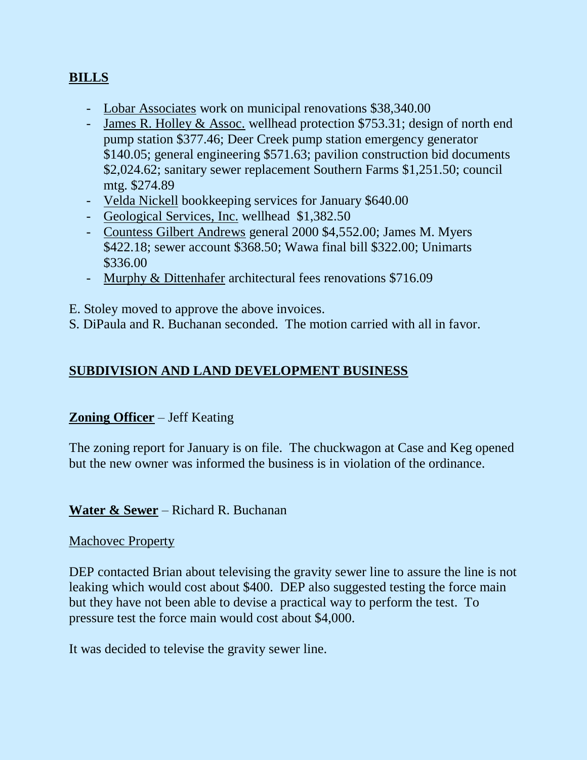# **BILLS**

- Lobar Associates work on municipal renovations \$38,340.00
- James R. Holley & Assoc. wellhead protection \$753.31; design of north end pump station \$377.46; Deer Creek pump station emergency generator \$140.05; general engineering \$571.63; pavilion construction bid documents \$2,024.62; sanitary sewer replacement Southern Farms \$1,251.50; council mtg. \$274.89
- Velda Nickell bookkeeping services for January \$640.00
- Geological Services, Inc. wellhead \$1,382.50
- Countess Gilbert Andrews general 2000 \$4,552.00; James M. Myers \$422.18; sewer account \$368.50; Wawa final bill \$322.00; Unimarts \$336.00
- Murphy & Dittenhafer architectural fees renovations \$716.09

E. Stoley moved to approve the above invoices.

S. DiPaula and R. Buchanan seconded. The motion carried with all in favor.

## **SUBDIVISION AND LAND DEVELOPMENT BUSINESS**

### **Zoning Officer** – Jeff Keating

The zoning report for January is on file. The chuckwagon at Case and Keg opened but the new owner was informed the business is in violation of the ordinance.

### **Water & Sewer** – Richard R. Buchanan

### Machovec Property

DEP contacted Brian about televising the gravity sewer line to assure the line is not leaking which would cost about \$400. DEP also suggested testing the force main but they have not been able to devise a practical way to perform the test. To pressure test the force main would cost about \$4,000.

It was decided to televise the gravity sewer line.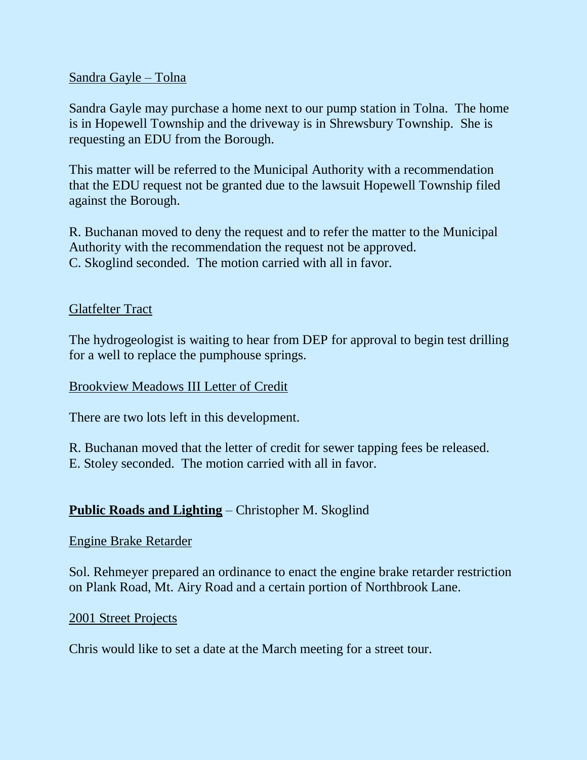### Sandra Gayle – Tolna

Sandra Gayle may purchase a home next to our pump station in Tolna. The home is in Hopewell Township and the driveway is in Shrewsbury Township. She is requesting an EDU from the Borough.

This matter will be referred to the Municipal Authority with a recommendation that the EDU request not be granted due to the lawsuit Hopewell Township filed against the Borough.

R. Buchanan moved to deny the request and to refer the matter to the Municipal Authority with the recommendation the request not be approved. C. Skoglind seconded. The motion carried with all in favor.

### Glatfelter Tract

The hydrogeologist is waiting to hear from DEP for approval to begin test drilling for a well to replace the pumphouse springs.

### Brookview Meadows III Letter of Credit

There are two lots left in this development.

R. Buchanan moved that the letter of credit for sewer tapping fees be released. E. Stoley seconded. The motion carried with all in favor.

## **Public Roads and Lighting** – Christopher M. Skoglind

### Engine Brake Retarder

Sol. Rehmeyer prepared an ordinance to enact the engine brake retarder restriction on Plank Road, Mt. Airy Road and a certain portion of Northbrook Lane.

### 2001 Street Projects

Chris would like to set a date at the March meeting for a street tour.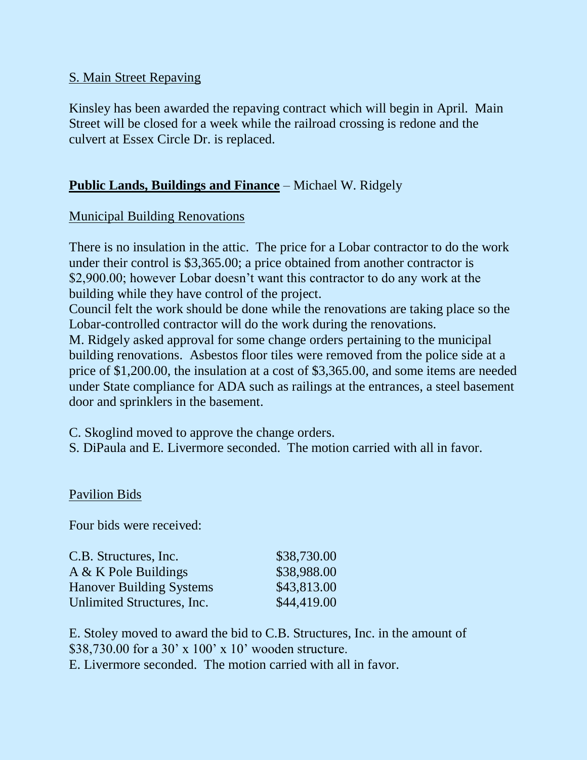## S. Main Street Repaving

Kinsley has been awarded the repaving contract which will begin in April. Main Street will be closed for a week while the railroad crossing is redone and the culvert at Essex Circle Dr. is replaced.

# **Public Lands, Buildings and Finance** – Michael W. Ridgely

### Municipal Building Renovations

There is no insulation in the attic. The price for a Lobar contractor to do the work under their control is \$3,365.00; a price obtained from another contractor is \$2,900.00; however Lobar doesn't want this contractor to do any work at the building while they have control of the project.

Council felt the work should be done while the renovations are taking place so the Lobar-controlled contractor will do the work during the renovations.

M. Ridgely asked approval for some change orders pertaining to the municipal building renovations. Asbestos floor tiles were removed from the police side at a price of \$1,200.00, the insulation at a cost of \$3,365.00, and some items are needed under State compliance for ADA such as railings at the entrances, a steel basement door and sprinklers in the basement.

C. Skoglind moved to approve the change orders.

S. DiPaula and E. Livermore seconded. The motion carried with all in favor.

### Pavilion Bids

Four bids were received:

| C.B. Structures, Inc.           | \$38,730.00 |
|---------------------------------|-------------|
| A & K Pole Buildings            | \$38,988.00 |
| <b>Hanover Building Systems</b> | \$43,813.00 |
| Unlimited Structures, Inc.      | \$44,419.00 |

E. Stoley moved to award the bid to C.B. Structures, Inc. in the amount of \$38,730.00 for a 30' x 100' x 10' wooden structure. E. Livermore seconded. The motion carried with all in favor.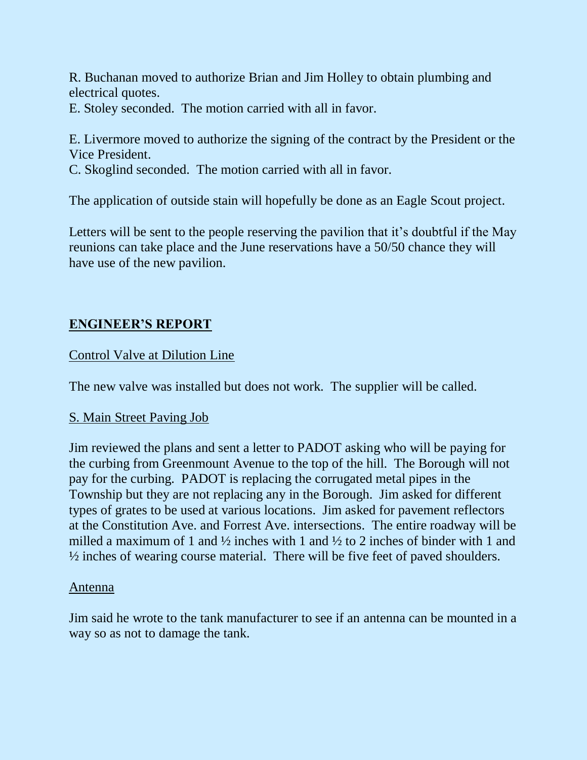R. Buchanan moved to authorize Brian and Jim Holley to obtain plumbing and electrical quotes.

E. Stoley seconded. The motion carried with all in favor.

E. Livermore moved to authorize the signing of the contract by the President or the Vice President.

C. Skoglind seconded. The motion carried with all in favor.

The application of outside stain will hopefully be done as an Eagle Scout project.

Letters will be sent to the people reserving the pavilion that it's doubtful if the May reunions can take place and the June reservations have a 50/50 chance they will have use of the new pavilion.

# **ENGINEER'S REPORT**

# Control Valve at Dilution Line

The new valve was installed but does not work. The supplier will be called.

## S. Main Street Paving Job

Jim reviewed the plans and sent a letter to PADOT asking who will be paying for the curbing from Greenmount Avenue to the top of the hill. The Borough will not pay for the curbing. PADOT is replacing the corrugated metal pipes in the Township but they are not replacing any in the Borough. Jim asked for different types of grates to be used at various locations. Jim asked for pavement reflectors at the Constitution Ave. and Forrest Ave. intersections. The entire roadway will be milled a maximum of 1 and  $\frac{1}{2}$  inches with 1 and  $\frac{1}{2}$  to 2 inches of binder with 1 and ½ inches of wearing course material. There will be five feet of paved shoulders.

## Antenna

Jim said he wrote to the tank manufacturer to see if an antenna can be mounted in a way so as not to damage the tank.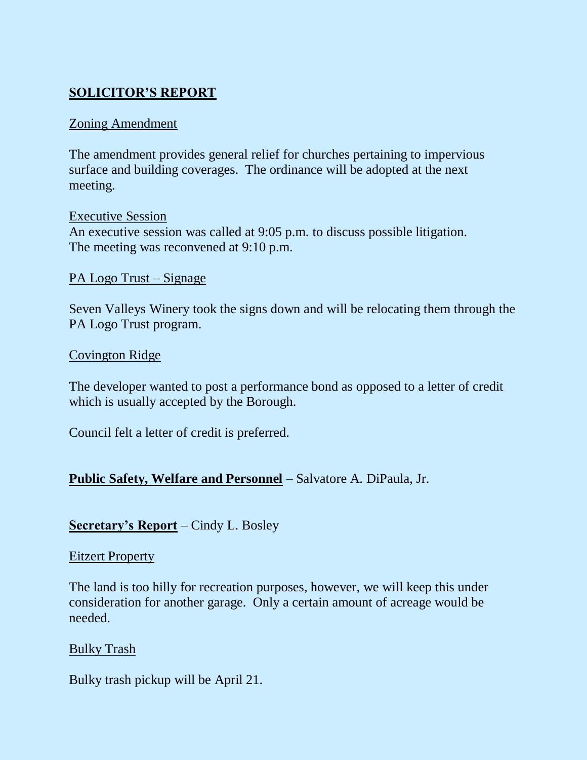# **SOLICITOR'S REPORT**

## Zoning Amendment

The amendment provides general relief for churches pertaining to impervious surface and building coverages. The ordinance will be adopted at the next meeting.

## Executive Session An executive session was called at 9:05 p.m. to discuss possible litigation. The meeting was reconvened at 9:10 p.m.

PA Logo Trust – Signage

Seven Valleys Winery took the signs down and will be relocating them through the PA Logo Trust program.

### Covington Ridge

The developer wanted to post a performance bond as opposed to a letter of credit which is usually accepted by the Borough.

Council felt a letter of credit is preferred.

## **Public Safety, Welfare and Personnel** – Salvatore A. DiPaula, Jr.

## **Secretary's Report** – Cindy L. Bosley

### Eitzert Property

The land is too hilly for recreation purposes, however, we will keep this under consideration for another garage. Only a certain amount of acreage would be needed.

### Bulky Trash

Bulky trash pickup will be April 21.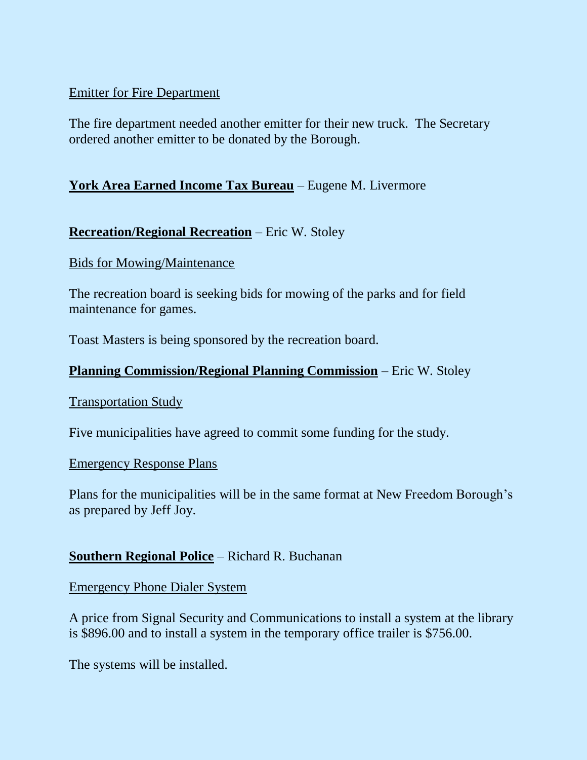## Emitter for Fire Department

The fire department needed another emitter for their new truck. The Secretary ordered another emitter to be donated by the Borough.

# **York Area Earned Income Tax Bureau** – Eugene M. Livermore

# **Recreation/Regional Recreation** – Eric W. Stoley

### Bids for Mowing/Maintenance

The recreation board is seeking bids for mowing of the parks and for field maintenance for games.

Toast Masters is being sponsored by the recreation board.

# **Planning Commission/Regional Planning Commission** – Eric W. Stoley

### Transportation Study

Five municipalities have agreed to commit some funding for the study.

### Emergency Response Plans

Plans for the municipalities will be in the same format at New Freedom Borough's as prepared by Jeff Joy.

## **Southern Regional Police** – Richard R. Buchanan

Emergency Phone Dialer System

A price from Signal Security and Communications to install a system at the library is \$896.00 and to install a system in the temporary office trailer is \$756.00.

The systems will be installed.